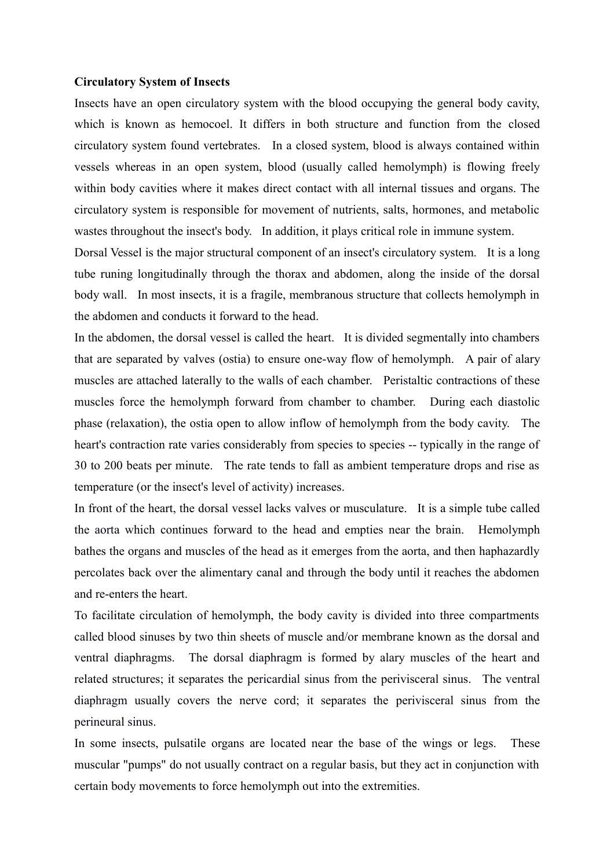## **Circulatory System of Insects**

Insects have an open circulatory system with the blood occupying the general body cavity, which is known as hemocoel. It differs in both structure and function from the closed circulatory system found vertebrates. In a closed system, blood is always contained within vessels whereas in an open system, blood (usually called hemolymph) is flowing freely within body cavities where it makes direct contact with all internal tissues and organs. The circulatory system is responsible for movement of nutrients, salts, hormones, and metabolic wastes throughout the insect's body. In addition, it plays critical role in immune system.

<span id="page-0-0"></span>[Dorsal Vessel](#page-0-0) is the major structural component of an insect's circulatory system. It is a long tube runing longitudinally through the thorax and abdomen, along the inside of the dorsal body wall. In most insects, it is a fragile, membranous structure that collects hemolymph in the abdomen and conducts it forward to the head.

<span id="page-0-9"></span><span id="page-0-8"></span>In the abdomen, the dorsal vessel is called the [heart.](#page-0-9) It is divided segmentally into chambers that are separated by valves (ostia) to ensure one-way flow of hemolymph. A pair of alary muscles are attached laterally to the walls of each chamber. [Peristaltic contractions](#page-0-8) of these muscles force the hemolymph forward from chamber to chamber. During each diastolic phase (relaxation), the ostia open to allow inflow of hemolymph from the body cavity. The heart's contraction rate varies considerably from species to species -- typically in the range of 30 to 200 beats per minute. The rate tends to fall as ambient temperature drops and rise as temperature (or the insect's level of activity) increases.

<span id="page-0-7"></span>In front of the heart, the dorsal vessel lacks valves or musculature. It is a simple tube called the [aorta](#page-0-7) which continues forward to the head and empties near the brain. Hemolymph bathes the organs and muscles of the head as it emerges from the aorta, and then haphazardly percolates back over the alimentary canal and through the body until it reaches the abdomen and re-enters the heart.

<span id="page-0-6"></span><span id="page-0-5"></span><span id="page-0-4"></span>To facilitate circulation of hemolymph, the body cavity is divided into three compartments called blood sinuses by two thin sheets of muscle and/or membrane known as the dorsal and ventral diaphragms. The [dorsal diaphragm](#page-0-6) is formed by alary muscles of the heart and related structures; it separates the [pericardial sinus](#page-0-5) from the [perivisceral sinus.](#page-0-4) The [ventral](#page-0-3) [diaphragm](#page-0-3) usually covers the nerve cord; it separates the [perivisceral sinus](#page-0-2) from the [perineural sinus.](#page-0-1)

<span id="page-0-3"></span><span id="page-0-2"></span><span id="page-0-1"></span>In some insects, pulsatile organs are located near the base of the wings or legs. These muscular "pumps" do not usually contract on a regular basis, but they act in conjunction with certain body movements to force hemolymph out into the extremities.